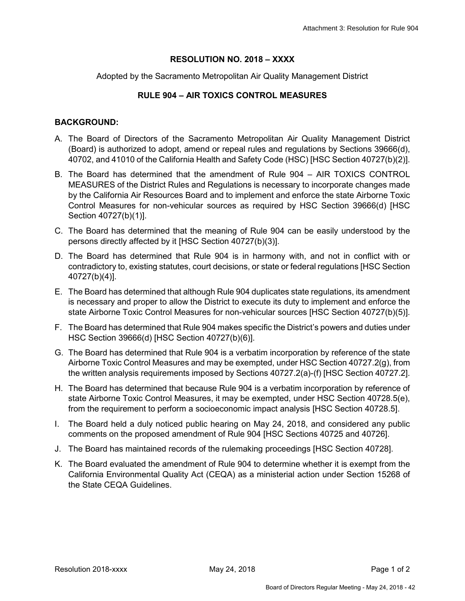## **RESOLUTION NO. 2018 – XXXX**

Adopted by the Sacramento Metropolitan Air Quality Management District

## **RULE 904 – AIR TOXICS CONTROL MEASURES**

## **BACKGROUND:**

- A. The Board of Directors of the Sacramento Metropolitan Air Quality Management District (Board) is authorized to adopt, amend or repeal rules and regulations by Sections 39666(d), 40702, and 41010 of the California Health and Safety Code (HSC) [HSC Section 40727(b)(2)].
- B. The Board has determined that the amendment of Rule 904 AIR TOXICS CONTROL MEASURES of the District Rules and Regulations is necessary to incorporate changes made by the California Air Resources Board and to implement and enforce the state Airborne Toxic Control Measures for non-vehicular sources as required by HSC Section 39666(d) [HSC Section 40727(b)(1)].
- C. The Board has determined that the meaning of Rule 904 can be easily understood by the persons directly affected by it [HSC Section 40727(b)(3)].
- D. The Board has determined that Rule 904 is in harmony with, and not in conflict with or contradictory to, existing statutes, court decisions, or state or federal regulations [HSC Section 40727(b)(4)].
- E. The Board has determined that although Rule 904 duplicates state regulations, its amendment is necessary and proper to allow the District to execute its duty to implement and enforce the state Airborne Toxic Control Measures for non-vehicular sources [HSC Section 40727(b)(5)].
- F. The Board has determined that Rule 904 makes specific the District's powers and duties under HSC Section 39666(d) [HSC Section 40727(b)(6)].
- G. The Board has determined that Rule 904 is a verbatim incorporation by reference of the state Airborne Toxic Control Measures and may be exempted, under HSC Section 40727.2(g), from the written analysis requirements imposed by Sections 40727.2(a)-(f) [HSC Section 40727.2].
- H. The Board has determined that because Rule 904 is a verbatim incorporation by reference of state Airborne Toxic Control Measures, it may be exempted, under HSC Section 40728.5(e), from the requirement to perform a socioeconomic impact analysis [HSC Section 40728.5].
- I. The Board held a duly noticed public hearing on May 24, 2018, and considered any public comments on the proposed amendment of Rule 904 [HSC Sections 40725 and 40726].
- J. The Board has maintained records of the rulemaking proceedings [HSC Section 40728].
- K. The Board evaluated the amendment of Rule 904 to determine whether it is exempt from the California Environmental Quality Act (CEQA) as a ministerial action under Section 15268 of the State CEQA Guidelines.